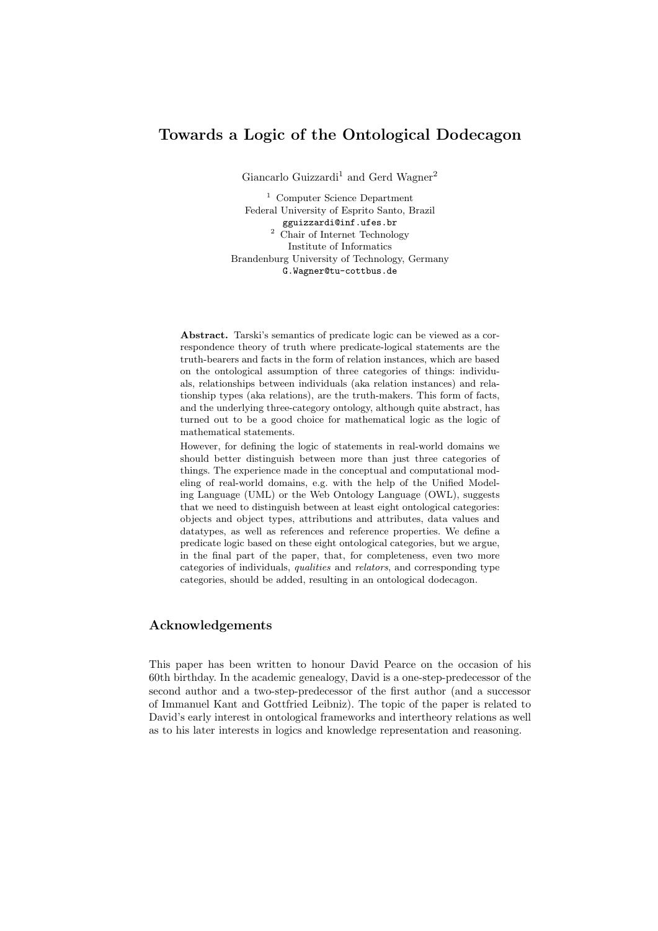# Towards a Logic of the Ontological Dodecagon

Giancarlo Guizzardi<sup>1</sup> and Gerd Wagner<sup>2</sup>

<sup>1</sup> Computer Science Department Federal University of Esprito Santo, Brazil gguizzardi@inf.ufes.br <sup>2</sup> Chair of Internet Technology Institute of Informatics Brandenburg University of Technology, Germany G.Wagner@tu-cottbus.de

Abstract. Tarski's semantics of predicate logic can be viewed as a correspondence theory of truth where predicate-logical statements are the truth-bearers and facts in the form of relation instances, which are based on the ontological assumption of three categories of things: individuals, relationships between individuals (aka relation instances) and relationship types (aka relations), are the truth-makers. This form of facts, and the underlying three-category ontology, although quite abstract, has turned out to be a good choice for mathematical logic as the logic of mathematical statements.

However, for defining the logic of statements in real-world domains we should better distinguish between more than just three categories of things. The experience made in the conceptual and computational modeling of real-world domains, e.g. with the help of the Unified Modeling Language (UML) or the Web Ontology Language (OWL), suggests that we need to distinguish between at least eight ontological categories: objects and object types, attributions and attributes, data values and datatypes, as well as references and reference properties. We define a predicate logic based on these eight ontological categories, but we argue, in the final part of the paper, that, for completeness, even two more categories of individuals, qualities and relators, and corresponding type categories, should be added, resulting in an ontological dodecagon.

## Acknowledgements

This paper has been written to honour David Pearce on the occasion of his 60th birthday. In the academic genealogy, David is a one-step-predecessor of the second author and a two-step-predecessor of the first author (and a successor of Immanuel Kant and Gottfried Leibniz). The topic of the paper is related to David's early interest in ontological frameworks and intertheory relations as well as to his later interests in logics and knowledge representation and reasoning.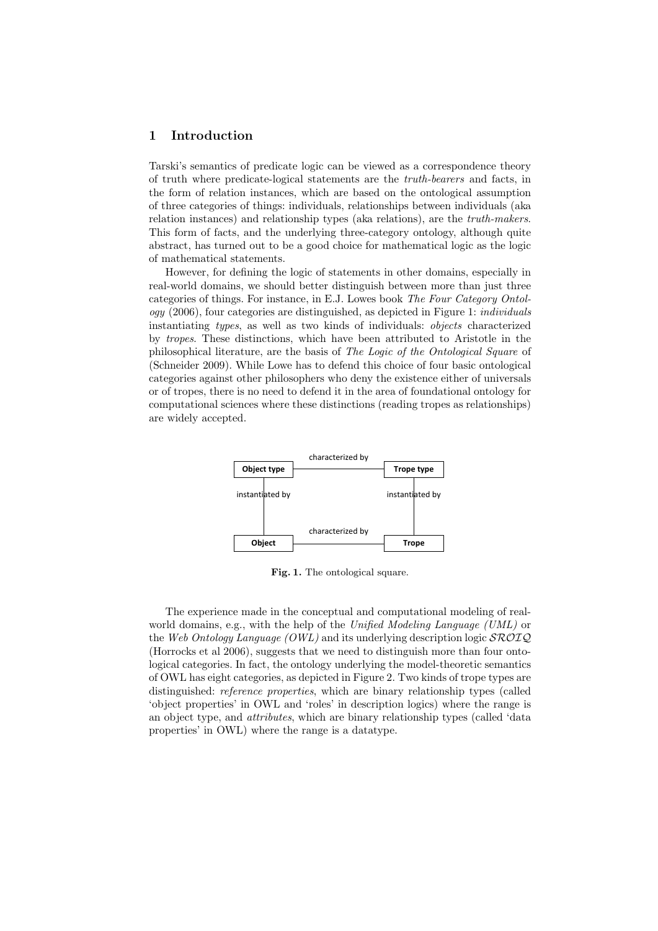## 1 Introduction

Tarski's semantics of predicate logic can be viewed as a correspondence theory of truth where predicate-logical statements are the truth-bearers and facts, in the form of relation instances, which are based on the ontological assumption of three categories of things: individuals, relationships between individuals (aka relation instances) and relationship types (aka relations), are the truth-makers. This form of facts, and the underlying three-category ontology, although quite abstract, has turned out to be a good choice for mathematical logic as the logic of mathematical statements.

However, for defining the logic of statements in other domains, especially in real-world domains, we should better distinguish between more than just three categories of things. For instance, in E.J. Lowes book The Four Category Ontology (2006), four categories are distinguished, as depicted in Figure 1: individuals instantiating types, as well as two kinds of individuals: objects characterized by tropes. These distinctions, which have been attributed to Aristotle in the philosophical literature, are the basis of The Logic of the Ontological Square of (Schneider 2009). While Lowe has to defend this choice of four basic ontological categories against other philosophers who deny the existence either of universals or of tropes, there is no need to defend it in the area of foundational ontology for computational sciences where these distinctions (reading tropes as relationships) are widely accepted.



Fig. 1. The ontological square.

The experience made in the conceptual and computational modeling of realworld domains, e.g., with the help of the Unified Modeling Language (UML) or the Web Ontology Language (OWL) and its underlying description logic  $\mathcal{SROIQ}$ (Horrocks et al 2006), suggests that we need to distinguish more than four ontological categories. In fact, the ontology underlying the model-theoretic semantics of OWL has eight categories, as depicted in Figure 2. Two kinds of trope types are distinguished: reference properties, which are binary relationship types (called 'object properties' in OWL and 'roles' in description logics) where the range is an object type, and attributes, which are binary relationship types (called 'data properties' in OWL) where the range is a datatype.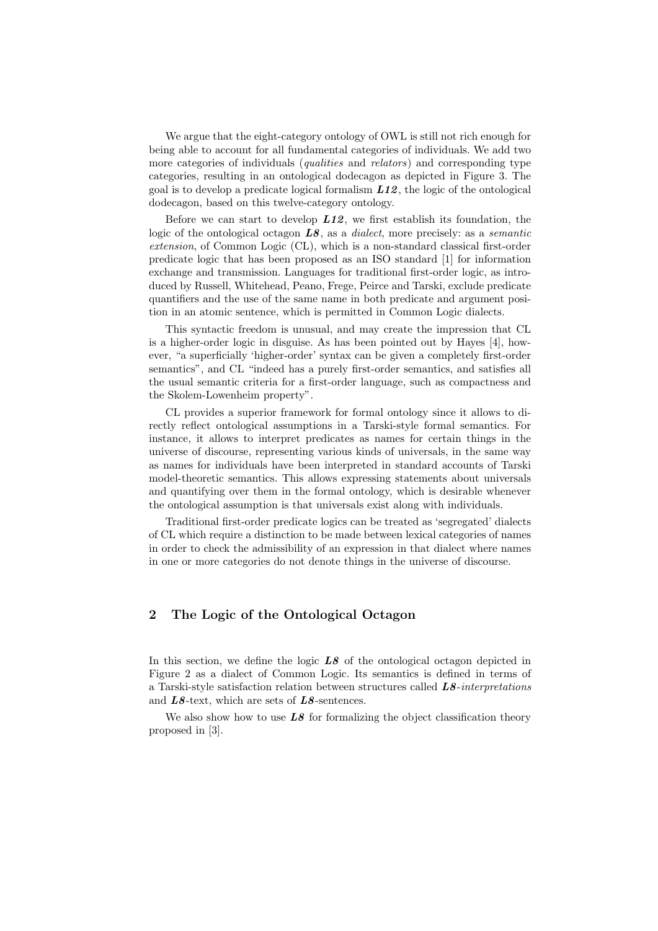We argue that the eight-category ontology of OWL is still not rich enough for being able to account for all fundamental categories of individuals. We add two more categories of individuals (*qualities* and *relators*) and corresponding type categories, resulting in an ontological dodecagon as depicted in Figure 3. The goal is to develop a predicate logical formalism  $L12$ , the logic of the ontological dodecagon, based on this twelve-category ontology.

Before we can start to develop  $L12$ , we first establish its foundation, the logic of the ontological octagon  $LS$ , as a *dialect*, more precisely: as a *semantic* extension, of Common Logic (CL), which is a non-standard classical first-order predicate logic that has been proposed as an ISO standard [1] for information exchange and transmission. Languages for traditional first-order logic, as introduced by Russell, Whitehead, Peano, Frege, Peirce and Tarski, exclude predicate quantifiers and the use of the same name in both predicate and argument position in an atomic sentence, which is permitted in Common Logic dialects.

This syntactic freedom is unusual, and may create the impression that CL is a higher-order logic in disguise. As has been pointed out by Hayes [4], however, "a superficially 'higher-order' syntax can be given a completely first-order semantics", and CL "indeed has a purely first-order semantics, and satisfies all the usual semantic criteria for a first-order language, such as compactness and the Skolem-Lowenheim property".

CL provides a superior framework for formal ontology since it allows to directly reflect ontological assumptions in a Tarski-style formal semantics. For instance, it allows to interpret predicates as names for certain things in the universe of discourse, representing various kinds of universals, in the same way as names for individuals have been interpreted in standard accounts of Tarski model-theoretic semantics. This allows expressing statements about universals and quantifying over them in the formal ontology, which is desirable whenever the ontological assumption is that universals exist along with individuals.

Traditional first-order predicate logics can be treated as 'segregated' dialects of CL which require a distinction to be made between lexical categories of names in order to check the admissibility of an expression in that dialect where names in one or more categories do not denote things in the universe of discourse.

## 2 The Logic of the Ontological Octagon

In this section, we define the logic  $\overline{L8}$  of the ontological octagon depicted in Figure 2 as a dialect of Common Logic. Its semantics is defined in terms of a Tarski-style satisfaction relation between structures called  $LS-interpretations$ and  $LS$ -text, which are sets of  $LS$ -sentences.

We also show how to use  $LS$  for formalizing the object classification theory proposed in [3].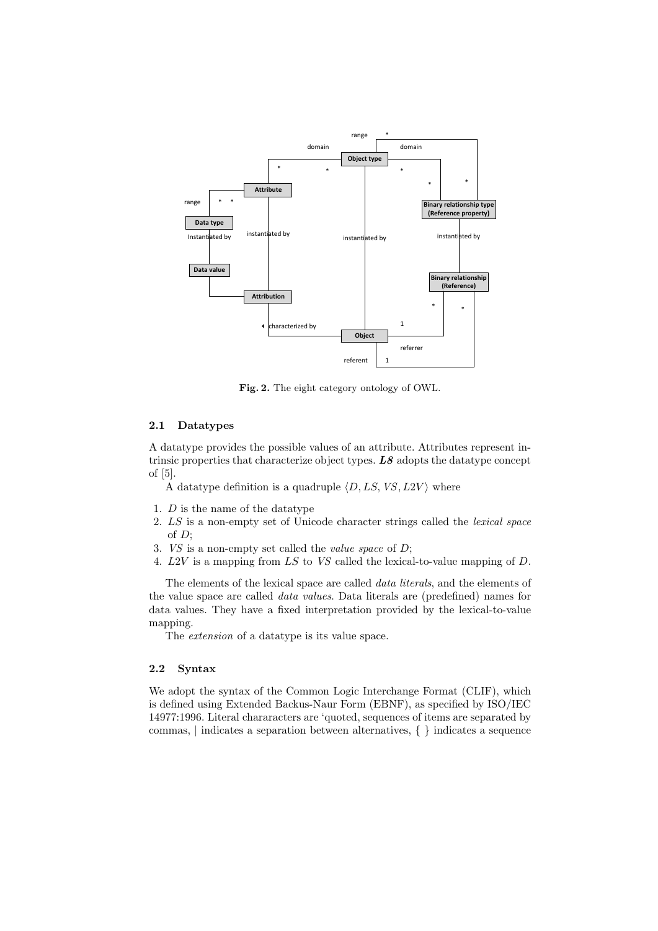

Fig. 2. The eight category ontology of OWL.

#### 2.1 Datatypes

A datatype provides the possible values of an attribute. Attributes represent intrinsic properties that characterize object types.  $\overline{LS}$  adopts the datatype concept of [5].

A datatype definition is a quadruple  $\langle D, LS, VS, L2V \rangle$  where

- 1. D is the name of the datatype
- 2. LS is a non-empty set of Unicode character strings called the lexical space of  $D$ ;
- 3. VS is a non-empty set called the value space of D;
- 4. L2V is a mapping from LS to VS called the lexical-to-value mapping of D.

The elements of the lexical space are called data literals, and the elements of the value space are called data values. Data literals are (predefined) names for data values. They have a fixed interpretation provided by the lexical-to-value mapping.

The extension of a datatype is its value space.

#### 2.2 Syntax

We adopt the syntax of the Common Logic Interchange Format (CLIF), which is defined using Extended Backus-Naur Form (EBNF), as specified by ISO/IEC 14977:1996. Literal chararacters are 'quoted, sequences of items are separated by commas, | indicates a separation between alternatives, { } indicates a sequence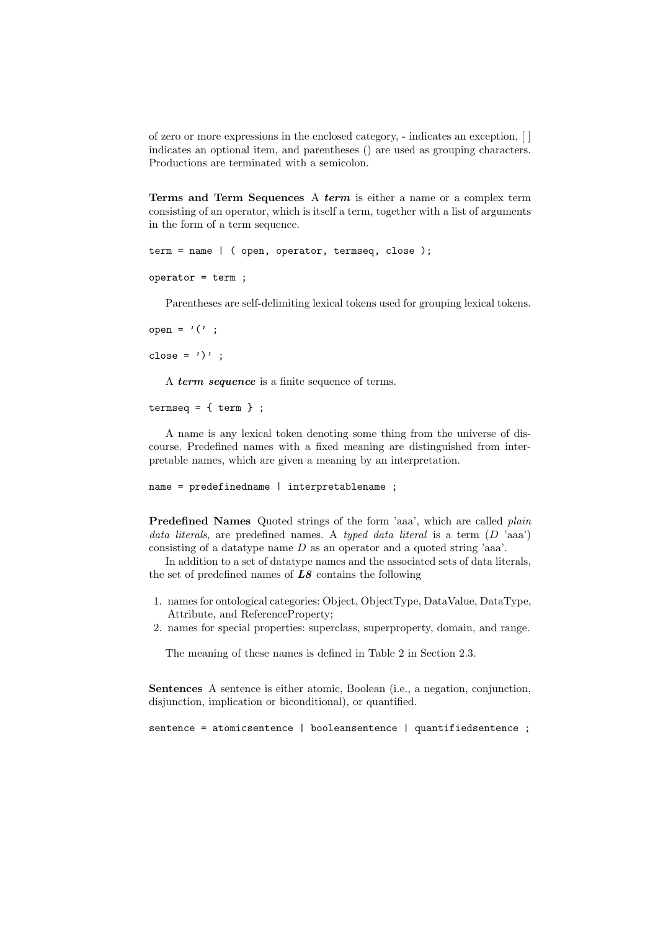of zero or more expressions in the enclosed category, - indicates an exception, [ ] indicates an optional item, and parentheses () are used as grouping characters. Productions are terminated with a semicolon.

Terms and Term Sequences A term is either a name or a complex term consisting of an operator, which is itself a term, together with a list of arguments in the form of a term sequence.

```
term = name | ( open, operator, termseq, close );
```

```
operator = term ;
```
Parentheses are self-delimiting lexical tokens used for grouping lexical tokens.

open =  $'(')$  ; close =  $')'$  ;

A term sequence is a finite sequence of terms.

```
termseq = \{ \text{term } \};
```
A name is any lexical token denoting some thing from the universe of discourse. Predefined names with a fixed meaning are distinguished from interpretable names, which are given a meaning by an interpretation.

```
name = predefinedname | interpretablename ;
```
Predefined Names Quoted strings of the form 'aaa', which are called *plain* data literals, are predefined names. A typed data literal is a term  $(D \text{ 'aaa'})$ consisting of a datatype name D as an operator and a quoted string 'aaa'.

In addition to a set of datatype names and the associated sets of data literals, the set of predefined names of  $LS$  contains the following

- 1. names for ontological categories: Object, ObjectType, DataValue, DataType, Attribute, and ReferenceProperty;
- 2. names for special properties: superclass, superproperty, domain, and range.

The meaning of these names is defined in Table 2 in Section 2.3.

Sentences A sentence is either atomic, Boolean (i.e., a negation, conjunction, disjunction, implication or biconditional), or quantified.

sentence = atomicsentence | booleansentence | quantifiedsentence ;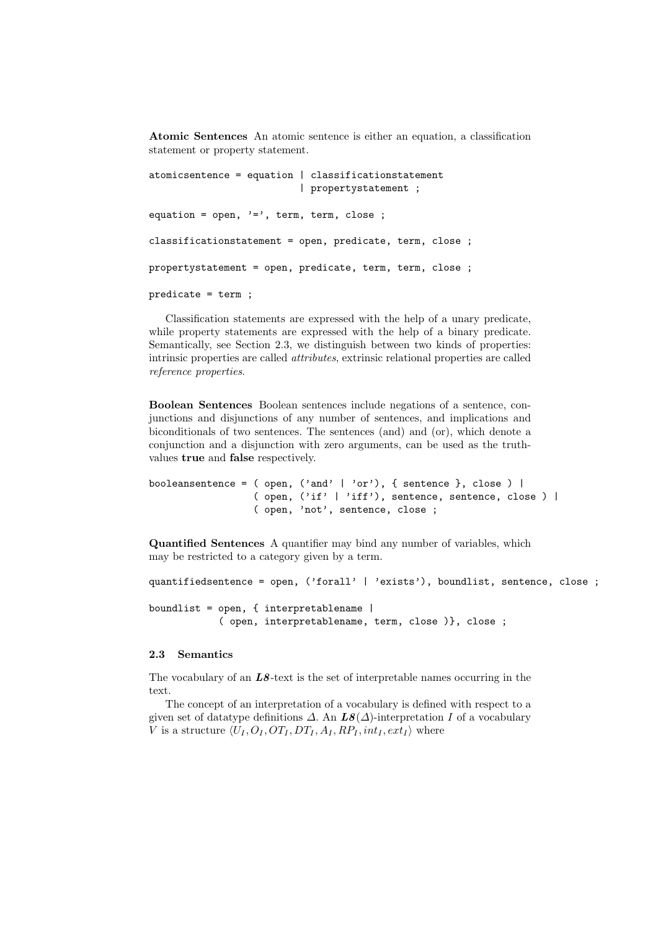Atomic Sentences An atomic sentence is either an equation, a classification statement or property statement.

```
atomicsentence = equation | classificationstatement
                          | propertystatement ;
equation = open, i=, term, term, close;
classificationstatement = open, predicate, term, close ;
propertystatement = open, predicate, term, term, close ;
predicate = term ;
```
Classification statements are expressed with the help of a unary predicate, while property statements are expressed with the help of a binary predicate. Semantically, see Section 2.3, we distinguish between two kinds of properties: intrinsic properties are called attributes, extrinsic relational properties are called reference properties.

Boolean Sentences Boolean sentences include negations of a sentence, conjunctions and disjunctions of any number of sentences, and implications and biconditionals of two sentences. The sentences (and) and (or), which denote a conjunction and a disjunction with zero arguments, can be used as the truthvalues true and false respectively.

```
booleansentence = ( open, ('and' | 'or'), { sentence }, close ) |
                  ( open, ('if' | 'iff'), sentence, sentence, close ) |
                  ( open, 'not', sentence, close ;
```
Quantified Sentences A quantifier may bind any number of variables, which may be restricted to a category given by a term.

quantifiedsentence = open, ('forall' | 'exists'), boundlist, sentence, close ;

boundlist = open, { interpretablename | ( open, interpretablename, term, close )}, close ;

### 2.3 Semantics

The vocabulary of an  $LS$ -text is the set of interpretable names occurring in the text.

The concept of an interpretation of a vocabulary is defined with respect to a given set of datatype definitions  $\Delta$ . An  $\mathbf{L}\mathbf{8}(\Delta)$ -interpretation I of a vocabulary V is a structure  $\langle U_I, O_I, OT_I, DT_I, A_I, RP_I, int_I, ext_I \rangle$  where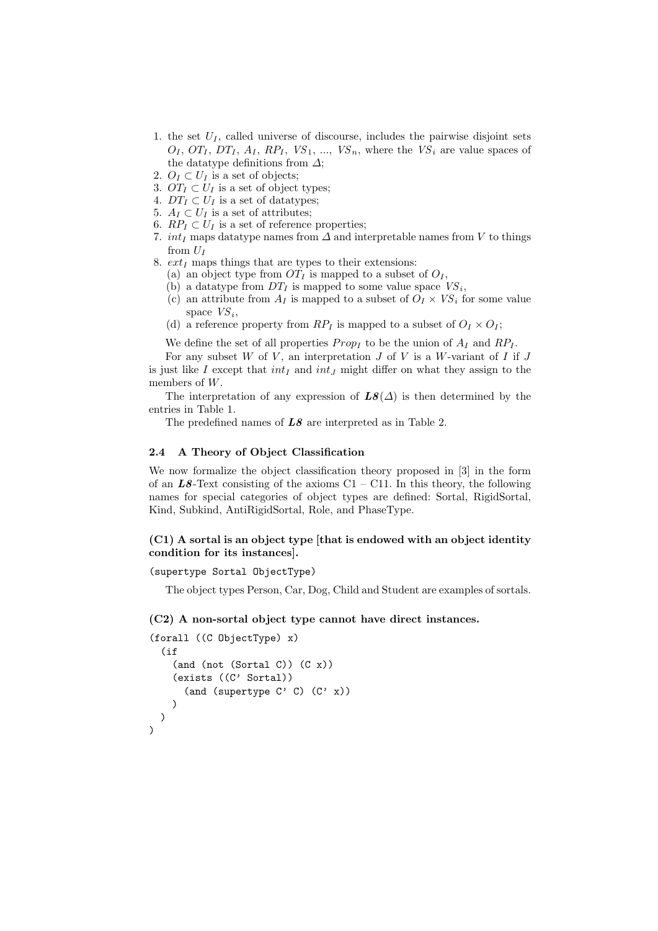- 1. the set  $U_I$ , called universe of discourse, includes the pairwise disjoint sets  $O_I$ ,  $OT_I$ ,  $DT_I$ ,  $A_I$ ,  $RP_I$ ,  $VS_1$ , ...,  $VS_n$ , where the  $VS_i$  are value spaces of the datatype definitions from  $\Delta$ ;
- 2.  $O_I \subset U_I$  is a set of objects;
- 3.  $OT_I \subset U_I$  is a set of object types;
- 4.  $DT_I \subset U_I$  is a set of datatypes;
- 5.  $A_I \subset U_I$  is a set of attributes;
- 6.  $RP_I \subset U_I$  is a set of reference properties;
- 7. int<sub>I</sub> maps datatype names from  $\Delta$  and interpretable names from V to things from  $U_I$
- 8.  $ext_I$  maps things that are types to their extensions:
	- (a) an object type from  $OT_I$  is mapped to a subset of  $O_I$ ,
	- (b) a data type from  $DT_I$  is mapped to some value space  $VS_i$ ,
	- (c) an attribute from  $A_I$  is mapped to a subset of  $O_I \times VS_i$  for some value space  $VS_i$ ,
	- (d) a reference property from  $RP_I$  is mapped to a subset of  $O_I \times O_I$ ;

We define the set of all properties  $Prop_I$  to be the union of  $A_I$  and  $RP_I$ .

For any subset  $W$  of  $V$ , an interpretation  $J$  of  $V$  is a  $W$ -variant of  $I$  if  $J$ is just like I except that  $int_I$  and  $int_J$  might differ on what they assign to the members of W.

The interpretation of any expression of  $LS(\Delta)$  is then determined by the entries in Table 1.

The predefined names of  $LS$  are interpreted as in Table 2.

### 2.4 A Theory of Object Classification

We now formalize the object classification theory proposed in [3] in the form of an  $L8$ -Text consisting of the axioms C1 – C11. In this theory, the following names for special categories of object types are defined: Sortal, RigidSortal, Kind, Subkind, AntiRigidSortal, Role, and PhaseType.

## $(C1)$  A sortal is an object type [that is endowed with an object identity condition for its instances].

(supertype Sortal ObjectType)

The object types Person, Car, Dog, Child and Student are examples of sortals.

### (C2) A non-sortal object type cannot have direct instances.

```
(forall ((C ObjectType) x)
  (if
    (and (not (Sortal C)) (C x))
    (exists ((C' Sortal))
      (and (supertype C' C) (C' x))
    )
 )
)
```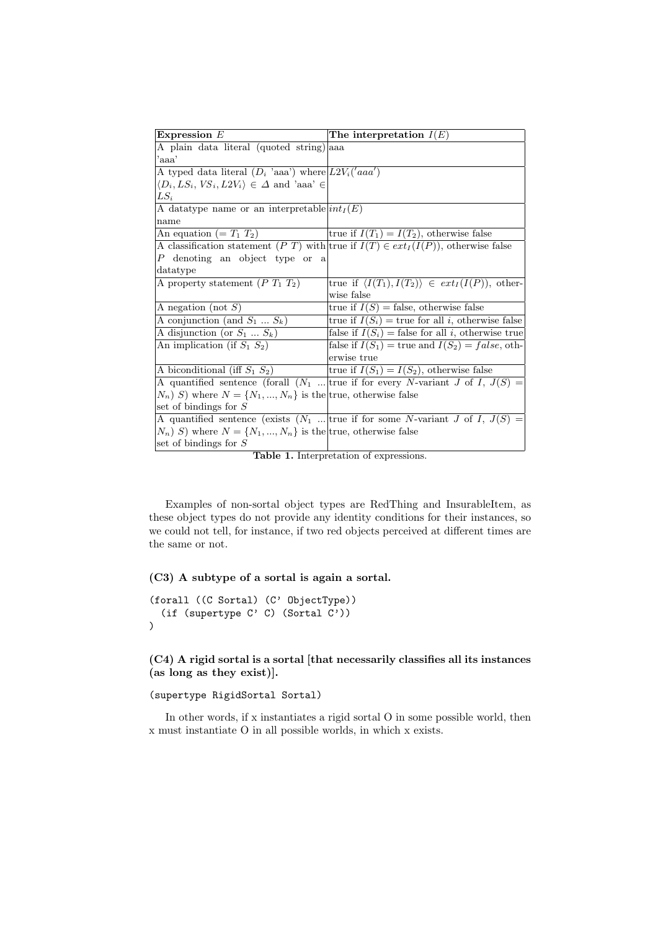| Expression $E$                                                      | The interpretation $I(E)$                                                                 |
|---------------------------------------------------------------------|-------------------------------------------------------------------------------------------|
| A plain data literal (quoted string) aaa                            |                                                                                           |
| 'aaa'                                                               |                                                                                           |
| A typed data literal $(D_i$ 'aaa') where $L2V_i('aaa')$             |                                                                                           |
| $\langle D_i, LS_i, VS_i, L2V_i \rangle \in \Delta$ and 'aaa' $\in$ |                                                                                           |
| $LS_i$                                                              |                                                                                           |
| A data type name or an interpretable $int_I(E)$                     |                                                                                           |
| name                                                                |                                                                                           |
| An equation (= $T_1$ $T_2$ )                                        | true if $I(T_1) = I(T_2)$ , otherwise false                                               |
|                                                                     | A classification statement (P T) with true if $I(T) \in ext_I(I(P))$ , otherwise false    |
| P denoting an object type or a                                      |                                                                                           |
| datatype                                                            |                                                                                           |
| A property statement $(P T_1 T_2)$                                  | true if $\langle I(T_1), I(T_2) \rangle \in ext_I(I(P))$ , other-                         |
|                                                                     | wise false                                                                                |
| A negation (not $S$ )                                               | true if $I(S)$ = false, otherwise false                                                   |
| A conjunction (and $S_1 \ldots S_k$ )                               | true if $I(S_i)$ = true for all <i>i</i> , otherwise false                                |
| A disjunction (or $S_1 \dots S_k$ )                                 | false if $I(S_i)$ = false for all i, otherwise true                                       |
| An implication (if $S_1$ $S_2$ )                                    | false if $I(S_1)$ = true and $I(S_2) = false$ , oth-                                      |
|                                                                     | erwise true                                                                               |
| A biconditional (iff $S_1$ $S_2$ )                                  | true if $I(S_1) = I(S_2)$ , otherwise false                                               |
|                                                                     | A quantified sentence (forall $(N_1 \dots   true$ if for every N-variant J of I, $J(S)$ = |
| $(N_n)$ S) where $N = \{N_1, , N_n\}$ is the true, otherwise false  |                                                                                           |
| set of bindings for $S$                                             |                                                                                           |
|                                                                     | A quantified sentence (exists $(N_1    true$ if for some N-variant J of I, $J(S) =$       |
| $(N_n)$ S) where $N = \{N_1, , N_n\}$ is the true, otherwise false  |                                                                                           |
| set of bindings for $S$                                             |                                                                                           |

Table 1. Interpretation of expressions.

Examples of non-sortal object types are RedThing and InsurableItem, as these object types do not provide any identity conditions for their instances, so we could not tell, for instance, if two red objects perceived at different times are the same or not.

(C3) A subtype of a sortal is again a sortal.

```
(forall ((C Sortal) (C' ObjectType))
  (if (supertype C' C) (Sortal C'))
)
```
(C4) A rigid sortal is a sortal [that necessarily classifies all its instances (as long as they exist)].

(supertype RigidSortal Sortal)

In other words, if x instantiates a rigid sortal O in some possible world, then x must instantiate O in all possible worlds, in which x exists.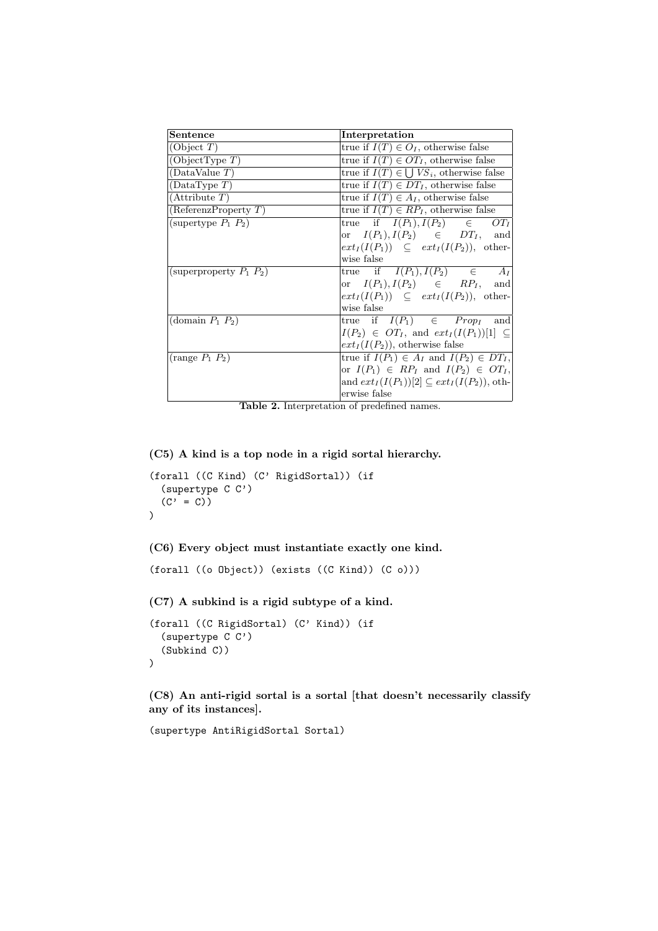| Sentence                     | Interpretation                                       |
|------------------------------|------------------------------------------------------|
| (Object $T$ )                | true if $I(T) \in O_I$ , otherwise false             |
| (ObjectType T)               | true if $I(T) \in OT_I$ , otherwise false            |
| (DataValue T)                | true if $I(T) \in \bigcup VS_i$ , otherwise false    |
| (DataType T)                 | true if $I(T) \in DT_I$ , otherwise false            |
| (Attribute T)                | true if $I(T) \in A_I$ , otherwise false             |
| (ReferenzProperty T)         | true if $I(T) \in RP_I$ , otherwise false            |
| (supertype $P_1$ $P_2$ )     | true if $I(P_1), I(P_2) \in$<br>$OT_I$               |
|                              | or $I(P_1), I(P_2) \in DT_I$ , and                   |
|                              | $ext_I(I(P_1)) \subseteq ext_I(I(P_2)),$ other-      |
|                              | wise false                                           |
| (superproperty $P_1$ $P_2$ ) | true if $I(P_1), I(P_2) \in A_I$                     |
|                              | or $I(P_1), I(P_2) \in RP_I$ , and                   |
|                              | $ext_I(I(P_1)) \subseteq ext_I(I(P_2)),$ other-      |
|                              | wise false                                           |
| (domain $P_1$ , $P_2$ )      | true if $I(P_1) \in Prop_I$ and                      |
|                              | $I(P_2) \in OT_I$ , and $ext_I(I(P_1))[1] \subseteq$ |
|                              | $ext_I(I(P_2))$ , otherwise false                    |
| $(\text{range } P_1 \, P_2)$ | true if $I(P_1) \in A_I$ and $I(P_2) \in DT_I$ ,     |
|                              | or $I(P_1) \in RP_I$ and $I(P_2) \in OT_I$ ,         |
|                              | and $ext_I(I(P_1))[2] \subseteq ext_I(I(P_2)),$ oth- |
|                              | erwise false                                         |

Table 2. Interpretation of predefined names.

(C5) A kind is a top node in a rigid sortal hierarchy.

```
(forall ((C Kind) (C' RigidSortal)) (if
  (supertype C C')
  (C' = C)\mathcal{L}
```

```
(C6) Every object must instantiate exactly one kind.
```

```
(forall ((o Object)) (exists ((C Kind)) (C o)))
```
(C7) A subkind is a rigid subtype of a kind.

```
(forall ((C RigidSortal) (C' Kind)) (if
  (supertype C C')
  (Subkind C))
\lambda
```
(C8) An anti-rigid sortal is a sortal [that doesn't necessarily classify any of its instances].

```
(supertype AntiRigidSortal Sortal)
```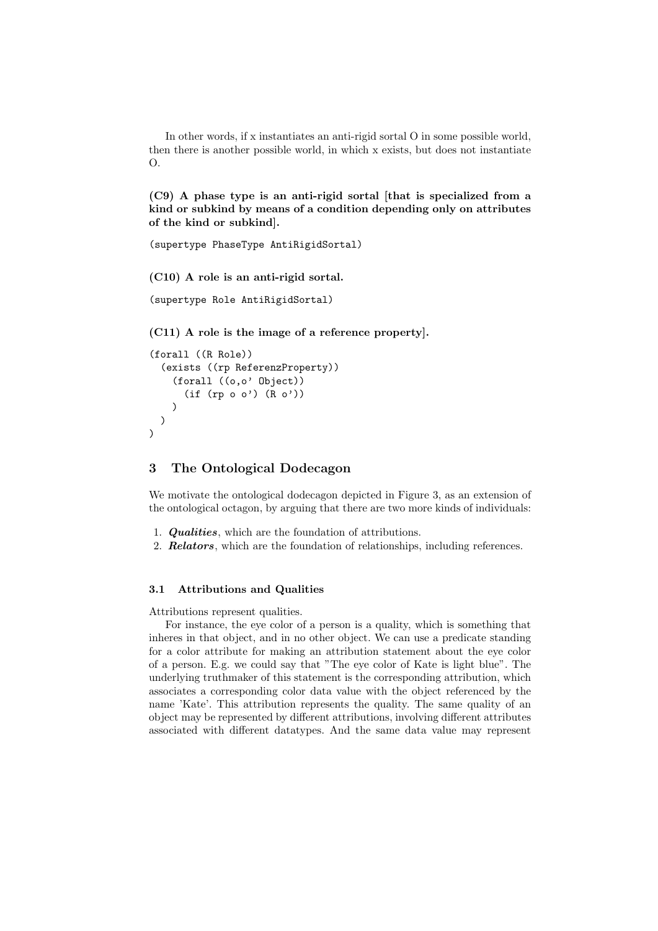In other words, if x instantiates an anti-rigid sortal O in some possible world, then there is another possible world, in which x exists, but does not instantiate  $\Omega$ .

(C9) A phase type is an anti-rigid sortal [that is specialized from a kind or subkind by means of a condition depending only on attributes of the kind or subkind].

```
(supertype PhaseType AntiRigidSortal)
```
(C10) A role is an anti-rigid sortal.

```
(supertype Role AntiRigidSortal)
```
(C11) A role is the image of a reference property].

```
(forall ((R Role))
  (exists ((rp ReferenzProperty))
    (forall ((o,o' Object))
       (if (rp o o') (R o'))
    )
  \lambda\lambda
```
## 3 The Ontological Dodecagon

We motivate the ontological dodecagon depicted in Figure 3, as an extension of the ontological octagon, by arguing that there are two more kinds of individuals:

- 1. Qualities, which are the foundation of attributions.
- 2. **Relators**, which are the foundation of relationships, including references.

### 3.1 Attributions and Qualities

Attributions represent qualities.

For instance, the eye color of a person is a quality, which is something that inheres in that object, and in no other object. We can use a predicate standing for a color attribute for making an attribution statement about the eye color of a person. E.g. we could say that "The eye color of Kate is light blue". The underlying truthmaker of this statement is the corresponding attribution, which associates a corresponding color data value with the object referenced by the name 'Kate'. This attribution represents the quality. The same quality of an object may be represented by different attributions, involving different attributes associated with different datatypes. And the same data value may represent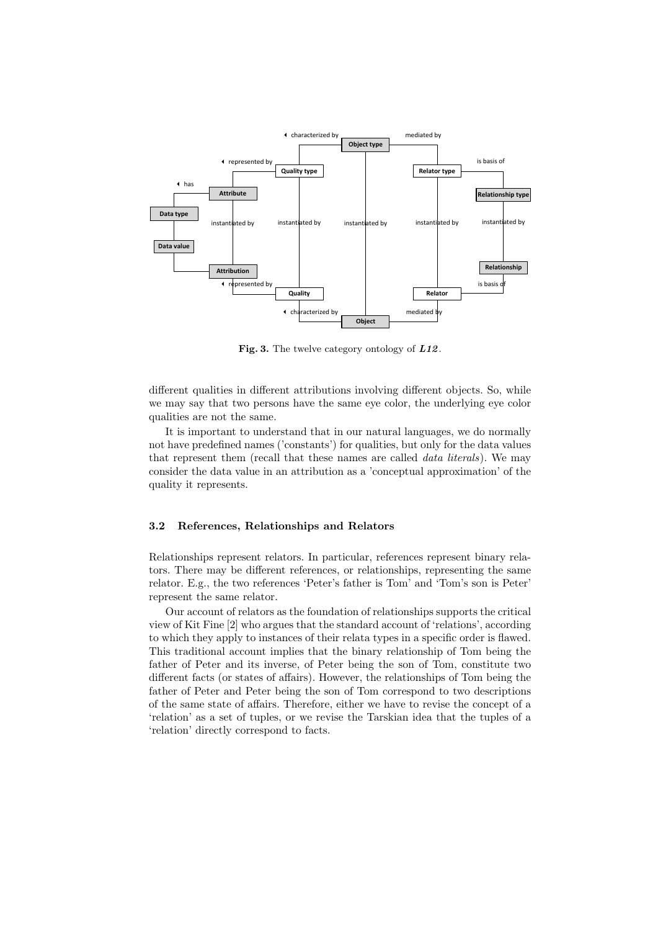

Fig. 3. The twelve category ontology of  $L12$ .

different qualities in different attributions involving different objects. So, while we may say that two persons have the same eye color, the underlying eye color qualities are not the same.

It is important to understand that in our natural languages, we do normally not have predefined names ('constants') for qualities, but only for the data values that represent them (recall that these names are called data literals). We may consider the data value in an attribution as a 'conceptual approximation' of the quality it represents.

#### 3.2 References, Relationships and Relators

Relationships represent relators. In particular, references represent binary relators. There may be different references, or relationships, representing the same relator. E.g., the two references 'Peter's father is Tom' and 'Tom's son is Peter' represent the same relator.

Our account of relators as the foundation of relationships supports the critical view of Kit Fine [2] who argues that the standard account of 'relations', according to which they apply to instances of their relata types in a specific order is flawed. This traditional account implies that the binary relationship of Tom being the father of Peter and its inverse, of Peter being the son of Tom, constitute two different facts (or states of affairs). However, the relationships of Tom being the father of Peter and Peter being the son of Tom correspond to two descriptions of the same state of affairs. Therefore, either we have to revise the concept of a 'relation' as a set of tuples, or we revise the Tarskian idea that the tuples of a 'relation' directly correspond to facts.